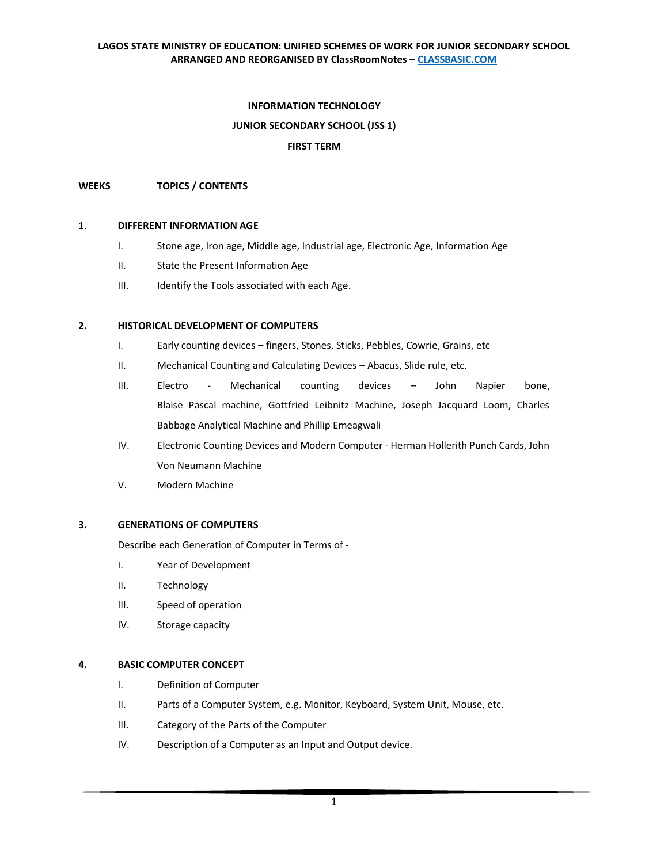### **LAGOS STATE MINISTRY OF EDUCATION: UNIFIED SCHEMES OF WORK FOR JUNIOR SECONDARY SCHOOL ARRANGED AND REORGANISED BY ClassRoomNotes – [CLASSBASIC.COM](http://classbasic.com/)**

### **INFORMATION TECHNOLOGY**

### **JUNIOR SECONDARY SCHOOL (JSS 1)**

### **FIRST TERM**

#### **WEEKS TOPICS / CONTENTS**

#### 1. **[DIFFERENT INFORMATION AGE](https://classbasic.com/2020/10/04/technology-of-different-information-ages-jss-1/)**

- I. Stone age, Iron age, Middle age, Industrial age, Electronic Age, Information Age
- II. State the Present Information Age
- III. Identify the Tools associated with each Age.

#### **2. HISTORICAL DEVELOPMENT OF COMPUTERS**

- I. Early counting devices fingers, Stones, Sticks, Pebbles, Cowrie, Grains, etc
- II. Mechanical Counting and Calculating Devices Abacus, Slide rule, etc.
- III. Electro Mechanical counting devices John Napier bone, Blaise Pascal machine, Gottfried Leibnitz Machine, Joseph Jacquard Loom, Charles Babbage Analytical Machine and Phillip Emeagwali
- IV. Electronic Counting Devices and Modern Computer Herman Hollerith Punch Cards, John Von Neumann Machine
- V. Modern Machine

#### **3. GENERATIONS OF COMPUTERS**

Describe each Generation of Computer in Terms of -

- I. Year of Development
- II. Technology
- III. Speed of operation
- IV. Storage capacity

### **4. [BASIC COMPUTER CONCEPT](https://classbasic.com/2020/10/03/basic-computer-concepts-jss-1/)**

- I. Definition of Computer
- II. Parts of a Computer System, e.g. Monitor, Keyboard, System Unit, Mouse, etc.
- III. Category of the Parts of the Computer
- IV. Description of a Computer as an Input and Output device.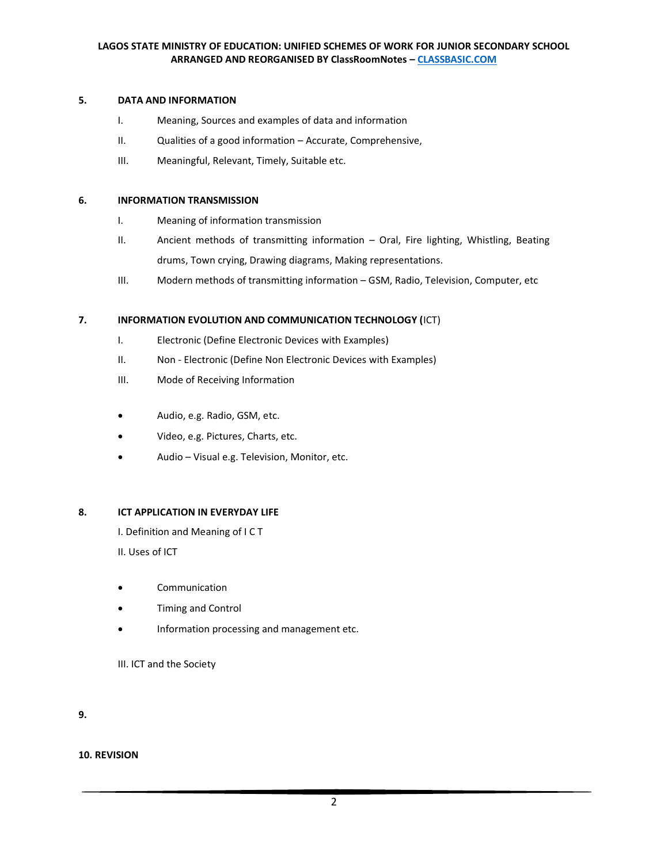### **5. DATA AND INFORMATION**

- I. Meaning, Sources and examples of data and information
- II. Qualities of a good information Accurate, Comprehensive,
- III. Meaningful, Relevant, Timely, Suitable etc.

### **6. INFORMATION TRANSMISSION**

- I. Meaning of information transmission
- II. Ancient methods of transmitting information Oral, Fire lighting, Whistling, Beating drums, Town crying, Drawing diagrams, Making representations.
- III. Modern methods of transmitting information GSM, Radio, Television, Computer, etc

# **7. INFORMATION EVOLUTION AND COMMUNICATION TECHNOLOGY (**ICT)

- I. Electronic (Define Electronic Devices with Examples)
- II. Non Electronic (Define Non Electronic Devices with Examples)
- III. Mode of Receiving Information
- Audio, e.g. Radio, GSM, etc.
- Video, e.g. Pictures, Charts, etc.
- Audio Visual e.g. Television, Monitor, etc.

### **8. [ICT APPLICATION IN EVERYDAY LIFE](https://classbasic.com/2020/02/23/plan-lesson-note-ict-application-in-everyday-life-basic-7-jss-1/)**

I. Definition and Meaning of I C T

II. Uses of ICT

- Communication
- Timing and Control
- Information processing and management etc.

III. ICT and the Society

**9.**

**10. REVISION**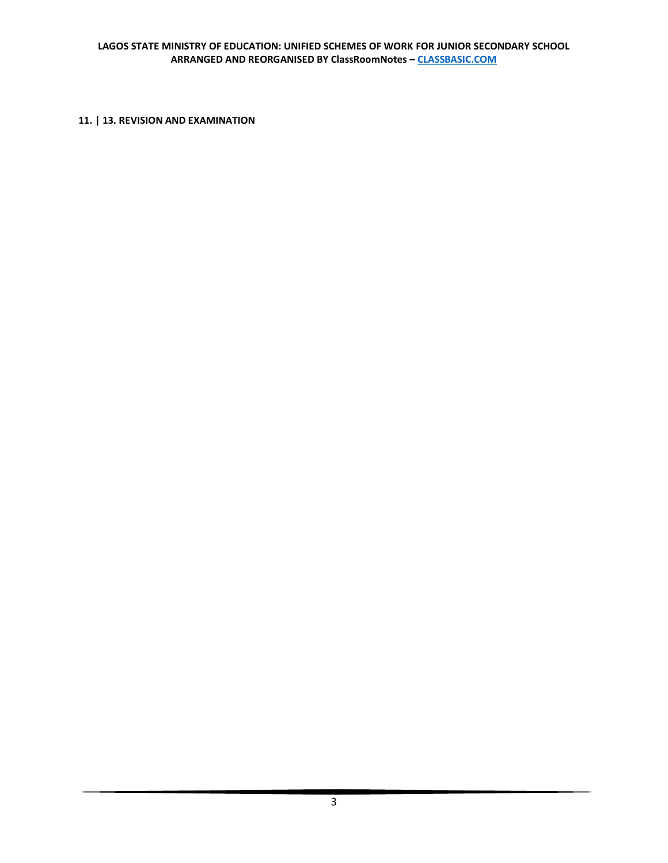# **11. | 13. REVISION AND EXAMINATION**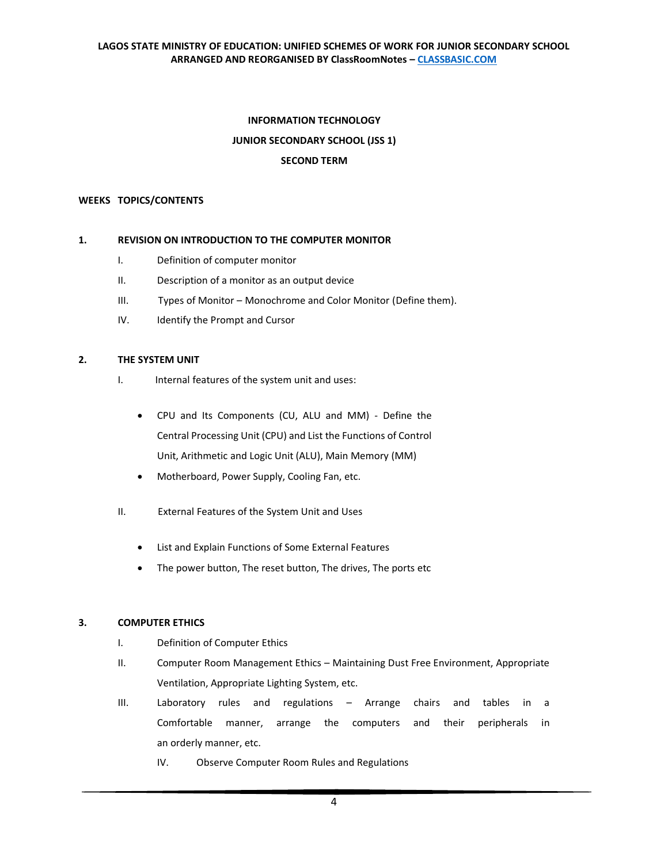# **INFORMATION TECHNOLOGY JUNIOR SECONDARY SCHOOL (JSS 1) SECOND TERM**

### **WEEKS TOPICS/CONTENTS**

### **1. REVISION ON INTRODUCTION TO THE COMPUTER MONITOR**

- I. Definition of computer monitor
- II. Description of a monitor as an output device
- III. Types of Monitor Monochrome and Color Monitor (Define them).
- IV. Identify the Prompt and Cursor

### **2. THE SYSTEM UNIT**

- I. Internal features of the system unit and uses:
	- CPU and Its Components (CU, ALU and MM) Define the Central Processing Unit (CPU) and List the Functions of Control Unit, Arithmetic and Logic Unit (ALU), Main Memory (MM)
	- Motherboard, Power Supply, Cooling Fan, etc.
- II. External Features of the System Unit and Uses
	- List and Explain Functions of Some External Features
	- The power button, The reset button, The drives, The ports etc

### **3. COMPUTER ETHICS**

- I. Definition of Computer Ethics
- II. Computer Room Management Ethics Maintaining Dust Free Environment, Appropriate Ventilation, Appropriate Lighting System, etc.
- III. Laboratory rules and regulations Arrange chairs and tables in a Comfortable manner, arrange the computers and their peripherals in an orderly manner, etc.
	- IV. Observe Computer Room Rules and Regulations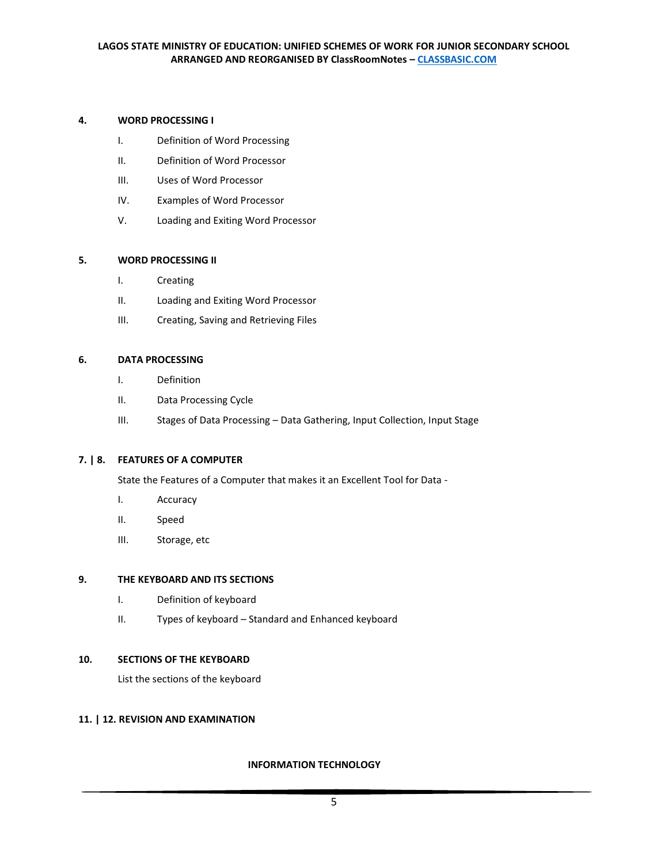# **4. WORD PROCESSING I**

- I. Definition of Word Processing
- II. Definition of Word Processor
- III. Uses of Word Processor
- IV. Examples of Word Processor
- V. Loading and Exiting Word Processor

# **5. WORD PROCESSING II**

- I. Creating
- II. Loading and Exiting Word Processor
- III. Creating, Saving and Retrieving Files

# **6. DATA PROCESSING**

- I. Definition
- II. Data Processing Cycle
- III. Stages of Data Processing Data Gathering, Input Collection, Input Stage

# **7. | 8. FEATURES OF A COMPUTER**

State the Features of a Computer that makes it an Excellent Tool for Data -

- I. Accuracy
- II. Speed
- III. Storage, etc

### **9. THE KEYBOARD AND ITS SECTIONS**

- I. Definition of keyboard
- II. Types of keyboard Standard and Enhanced keyboard

### **10. SECTIONS OF THE KEYBOARD**

List the sections of the keyboard

# **11. | 12. REVISION AN[D EXAMINATION](https://classbasic.com/2020/03/22/second-term-examination-computer-studies-ict-basic-7-jss-1-clicksamplenote-certkingdompdf/)**

### **INFORMATION TECHNOLOGY**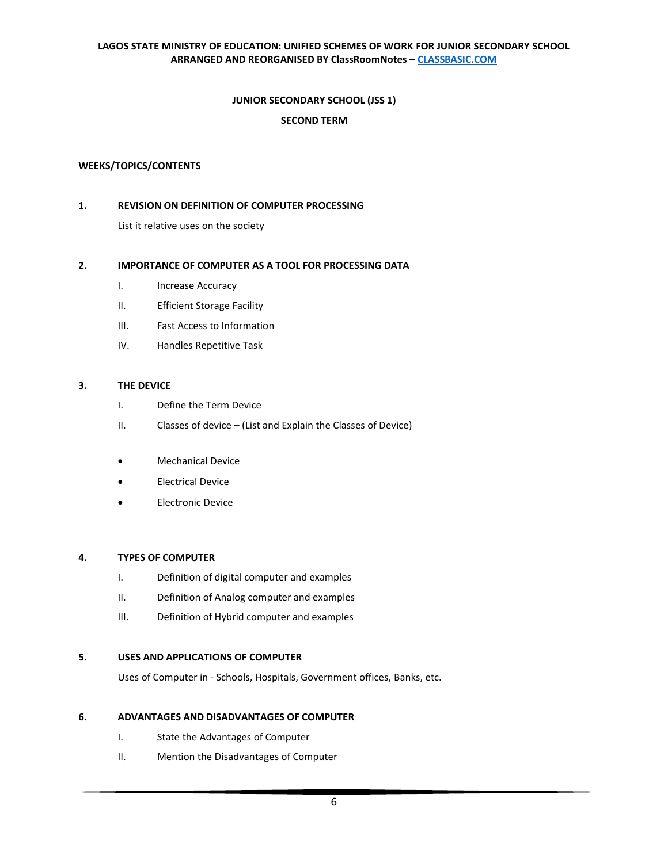### **LAGOS STATE MINISTRY OF EDUCATION: UNIFIED SCHEMES OF WORK FOR JUNIOR SECONDARY SCHOOL ARRANGED AND REORGANISED BY ClassRoomNotes – [CLASSBASIC.COM](http://classbasic.com/)**

### **JUNIOR SECONDARY SCHOOL (JSS 1)**

# **SECOND TERM**

### **WEEKS/TOPICS/CONTENTS**

### **1. REVISION ON DEFINITION OF COMPUTER PROCESSING**

List it relative uses on the society

### **2. IMPORTANCE OF COMPUTER AS A TOOL FOR PROCESSING DATA**

- I. Increase Accuracy
- II. Efficient Storage Facility
- III. Fast Access to Information
- IV. Handles Repetitive Task

### **3. THE DEVICE**

- I. Define the Term Device
- II. Classes of device (List and Explain the Classes of Device)
- Mechanical Device
- Electrical Device
- Electronic Device

### **4. TYPES OF COMPUTER**

- I. Definition of digital computer and examples
- II. Definition of Analog computer and examples
- III. Definition of Hybrid computer and examples

### **5. USES AND APPLICATIONS OF COMPUTER**

Uses of Computer in - Schools, Hospitals, Government offices, Banks, etc.

### **6. ADVANTAGES AND DISADVANTAGES OF COMPUTER**

- I. State the Advantages of Computer
- II. Mention the Disadvantages of Computer